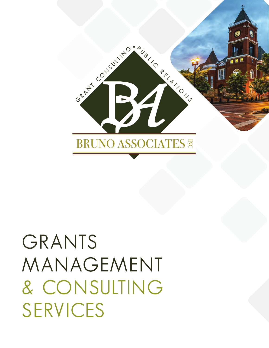

# GRANTS MANAGEMENT & CONSULTING SERVICES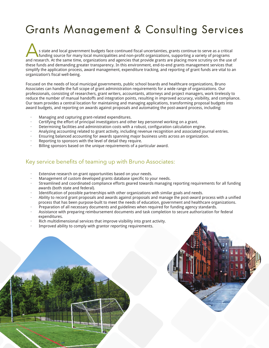## Grants Management & Consulting Services

s state and local government budgets face continued fiscal uncertainties, grants continue to serve as a critical funding source for many local municipalities and non-profit organizations, supporting a variety of programs and research. At the same time, organizations and agencies that provide grants are placing more scrutiny on the use of these funds and demanding greater transparency. In this environment, end-to-end grants management services that simplify the application process, award management, expenditure tracking, and reporting of grant funds are vital to an organization's fiscal well-being.

Focused on the needs of local municipal governments, public school boards and healthcare organizations, Bruno Associates can handle the full scope of grant administration requirements for a wide range of organizations. Our professionals, consisting of researchers, grant writers, accountants, attorneys and project managers, work tirelessly to reduce the number of manual handoffs and integration points, resulting in improved accuracy, visibility, and compliance. Our team provides a central location for maintaining and managing applications, transforming proposal budgets into award budgets, and reporting on awards against proposals and automating the post-award process, including:

- · Managing and capturing grant-related expenditures.
- · Certifying the effort of principal investigators and other key personnel working on a grant.
- · Determining facilities and administration costs with a robust, configuration calculation engine.
- · Analyzing accounting related to grant activity, including revenue recognition and associated journal entries.
- · Ensuring balanced accounting for awards spanning major business units across an organization.
- Reporting to sponsors with the level of detail they require.
- Billing sponsors based on the unique requirements of a particular award.

#### Key service benefits of teaming up with Bruno Associates:

- Extensive research on grant opportunities based on your needs.
- Management of custom developed grants database specific to your needs.
- · Streamlined and coordinated compliance efforts geared towards managing reporting requirements for all funding awards (both state and federal).
- Identification of possible partnerships with other organizations with similar goals and needs.
- · Ability to record grant proposals and awards against proposals and manage the post-award process with a unified process that has been purpose-built to meet the needs of education, government and healthcare organizations.
- · Preparation of all necessary documents and guidelines when required for funding agency standards.
- · Assistance with preparing reimbursement documents and task completion to secure authorization for federal expenditures.
- · Rich multidimensional services that improve visibility into grant activity.
- Improved ability to comply with grantor reporting requirements.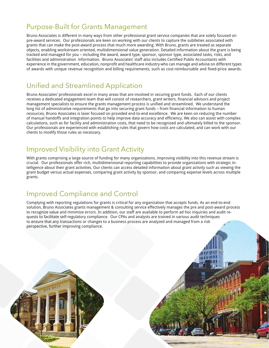#### Purpose-Built for Grants Management

Bruno Associates is different in many ways from other professional grant service companies that are solely focused on pre-award services. Our professionals are keen on working with our clients to capture the subtleties associated with grants that can make the post-award process that much more awarding. With Bruno, grants are treated as separate objects, enabling workstream oriented, multidimensional value generation. Detailed information about the grant is being tracked and managed for you – including the award, award type, sponsor, sponsor type, associated tasks, risks, and facilities and administration information. Bruno Associates' staff also includes Certified Public Accountants with experience in the government, education, nonprofit and healthcare industry who can manage and advise on different types of awards with unique revenue recognition and billing requirements, such as cost-reimbursable and fixed-price awards.

### Unified and Streamlined Application

Bruno Associates' professionals excel in many areas that are involved in securing grant funds. Each of our clients receives a dedicated engagement team that will consist of researchers, grant writers, financial advisors and project management specialists to ensure the grants management process is unified and streamlined. We understand the long list of administrative requirements that go into securing grant funds - from financial information to human resources, Bruno Associates is laser focused on provided end-to-end excellence. We are keen on reducing the number of manual handoffs and integration points to help improve data accuracy and efficiency. We also can assist with complex calculations, such as for facility and administration costs, that need to be recognized and ultimately billed to the sponsor. Our professionals are experienced with establishing rules that govern how costs are calculated, and can work with our clients to modify those rules as necessary.

### Improved Visibility into Grant Activity

With grants comprising a large source of funding for many organizations, improving visibility into this revenue stream is crucial. Our professionals offer rich, multidimensional reporting capabilities to provide organizations with strategic intelligence about their grant activities. Our clients can access detailed information about grant activity such as viewing the grant budget versus actual expenses, comparing grant activity by sponsor, and comparing expense levels across multiple grants.

### Improved Compliance and Control

Complying with reporting regulations for grants is critical for any organization that accepts funds. As an end-to-end solution, Bruno Associates grants management & consulting service effectively manages the pre and post-award process to recognize value and minimize errors. In addition, our staff are available to perform ad hoc inquiries and audit requests to facilitate self-regulatory compliance. Our CPAs and analysts are trained in various audit techniques to ensure that any transactions or changes to a business process are analyzed and managed from a risk perspective, further improving compliance.